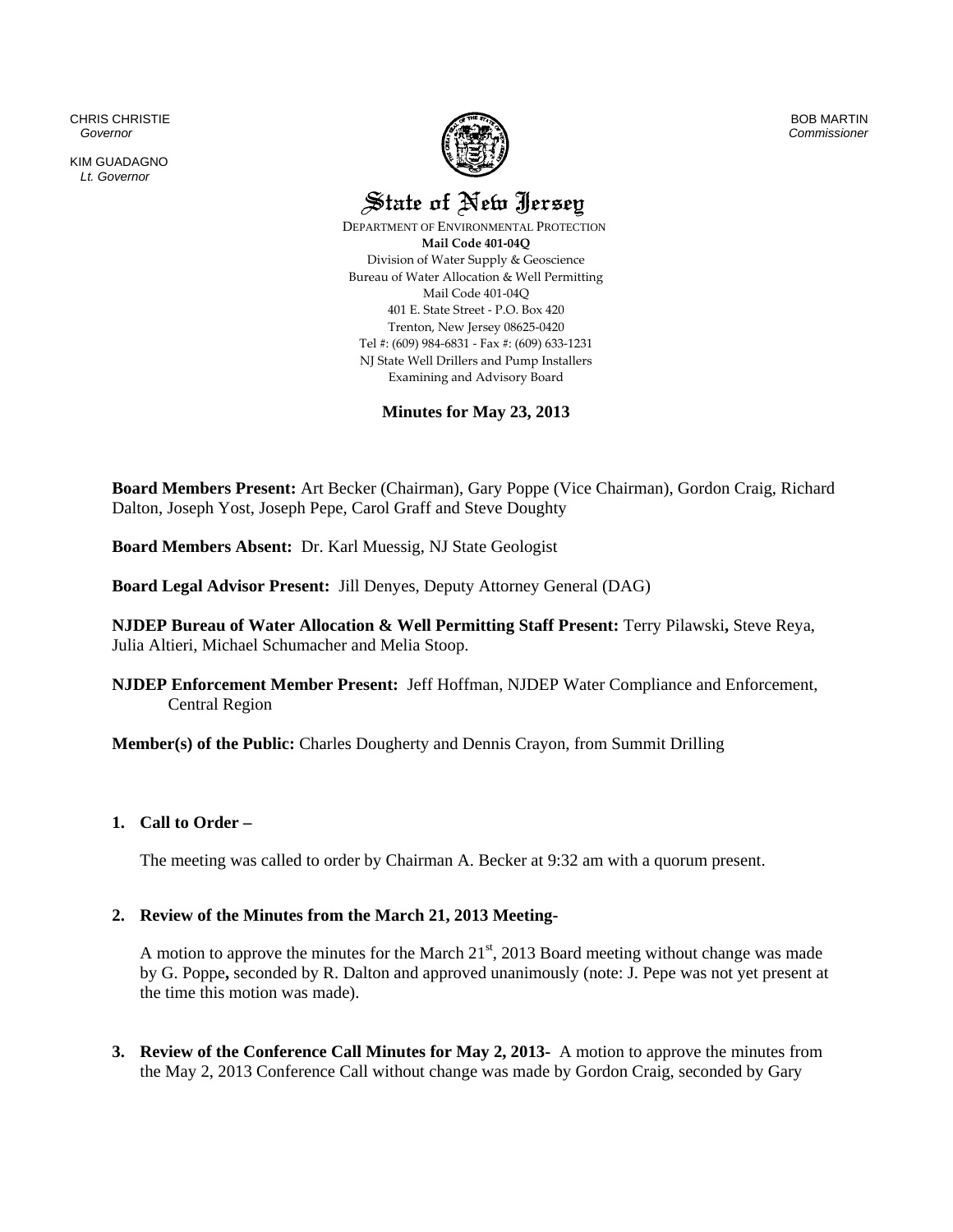CHRIS CHRISTIE  *Governor* 

KIM GUADAGNO *Lt. Governor* 



BOB MARTIN *Commissioner*

State of New Jersey

 DEPARTMENT OF ENVIRONMENTAL PROTECTION **Mail Code 401‐04Q** Division of Water Supply & Geoscience Bureau of Water Allocation & Well Permitting Mail Code 401‐04Q 401 E. State Street ‐ P.O. Box 420 Trenton, New Jersey 08625‐0420 Tel #: (609) 984‐6831 ‐ Fax #: (609) 633‐1231 NJ State Well Drillers and Pump Installers Examining and Advisory Board

**Minutes for May 23, 2013** 

**Board Members Present:** Art Becker (Chairman), Gary Poppe (Vice Chairman), Gordon Craig, Richard Dalton, Joseph Yost, Joseph Pepe, Carol Graff and Steve Doughty

**Board Members Absent:** Dr. Karl Muessig, NJ State Geologist

**Board Legal Advisor Present:** Jill Denyes, Deputy Attorney General (DAG)

**NJDEP Bureau of Water Allocation & Well Permitting Staff Present:** Terry Pilawski**,** Steve Reya, Julia Altieri, Michael Schumacher and Melia Stoop.

**NJDEP Enforcement Member Present:** Jeff Hoffman, NJDEP Water Compliance and Enforcement, Central Region

**Member(s) of the Public:** Charles Dougherty and Dennis Crayon, from Summit Drilling

## **1. Call to Order –**

The meeting was called to order by Chairman A. Becker at 9:32 am with a quorum present.

## **2. Review of the Minutes from the March 21, 2013 Meeting-**

A motion to approve the minutes for the March  $21<sup>st</sup>$ , 2013 Board meeting without change was made by G. Poppe**,** seconded by R. Dalton and approved unanimously (note: J. Pepe was not yet present at the time this motion was made).

**3. Review of the Conference Call Minutes for May 2, 2013-** A motion to approve the minutes from the May 2, 2013 Conference Call without change was made by Gordon Craig, seconded by Gary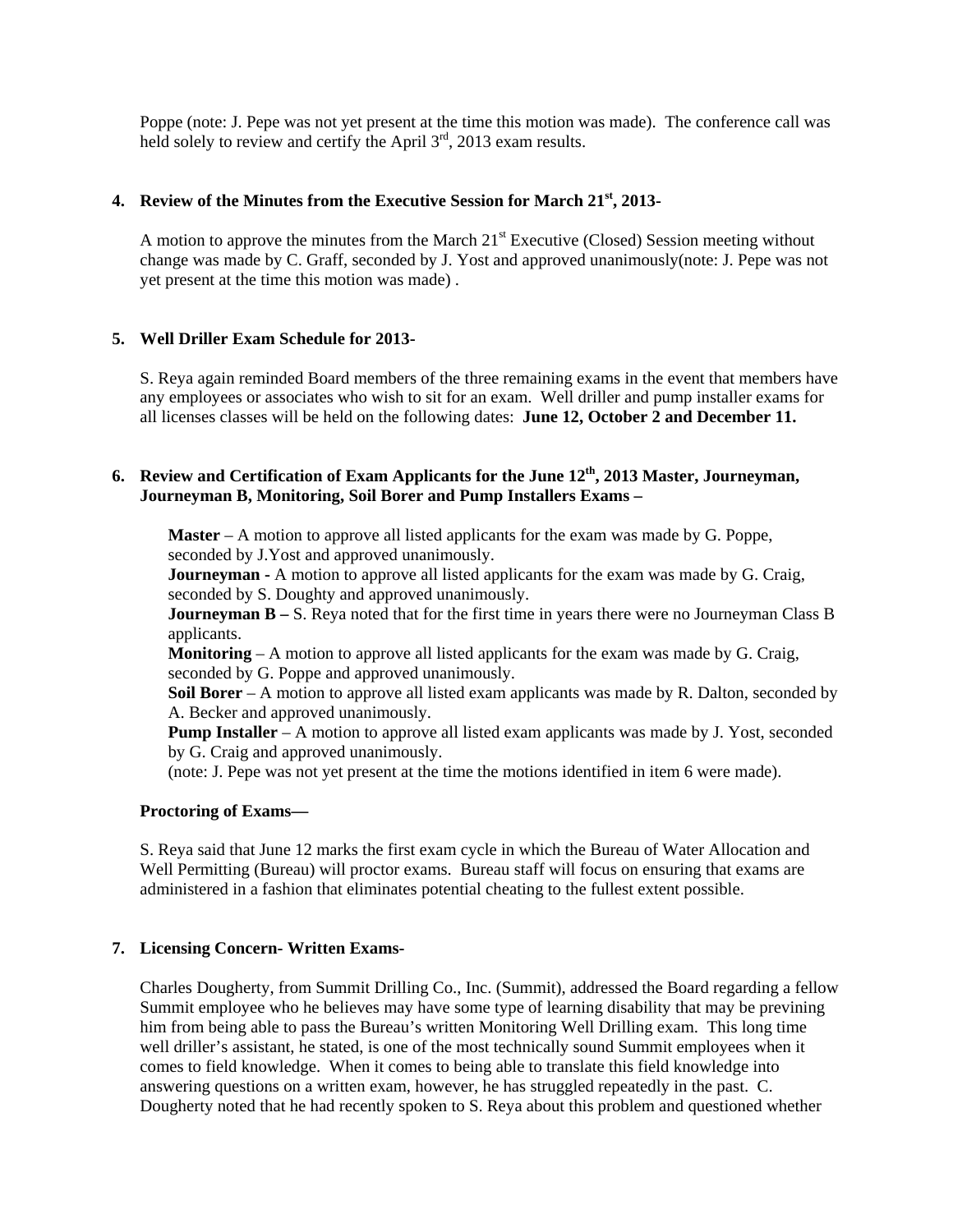Poppe (note: J. Pepe was not yet present at the time this motion was made). The conference call was held solely to review and certify the April  $3<sup>rd</sup>$ , 2013 exam results.

### **4. Review of the Minutes from the Executive Session for March 21st, 2013-**

A motion to approve the minutes from the March 21<sup>st</sup> Executive (Closed) Session meeting without change was made by C. Graff, seconded by J. Yost and approved unanimously(note: J. Pepe was not yet present at the time this motion was made) .

## **5. Well Driller Exam Schedule for 2013-**

S. Reya again reminded Board members of the three remaining exams in the event that members have any employees or associates who wish to sit for an exam. Well driller and pump installer exams for all licenses classes will be held on the following dates: **June 12, October 2 and December 11.**

# **6. Review and Certification of Exam Applicants for the June 12th, 2013 Master, Journeyman, Journeyman B, Monitoring, Soil Borer and Pump Installers Exams –**

**Master** – A motion to approve all listed applicants for the exam was made by G. Poppe, seconded by J.Yost and approved unanimously.

**Journeyman -** A motion to approve all listed applicants for the exam was made by G. Craig, seconded by S. Doughty and approved unanimously.

**Journeyman B –** S. Reya noted that for the first time in years there were no Journeyman Class B applicants.

**Monitoring** – A motion to approve all listed applicants for the exam was made by G. Craig, seconded by G. Poppe and approved unanimously.

**Soil Borer** – A motion to approve all listed exam applicants was made by R. Dalton, seconded by A. Becker and approved unanimously.

**Pump Installer** – A motion to approve all listed exam applicants was made by J. Yost, seconded by G. Craig and approved unanimously.

(note: J. Pepe was not yet present at the time the motions identified in item 6 were made).

### **Proctoring of Exams—**

S. Reya said that June 12 marks the first exam cycle in which the Bureau of Water Allocation and Well Permitting (Bureau) will proctor exams. Bureau staff will focus on ensuring that exams are administered in a fashion that eliminates potential cheating to the fullest extent possible.

## **7. Licensing Concern- Written Exams-**

Charles Dougherty, from Summit Drilling Co., Inc. (Summit), addressed the Board regarding a fellow Summit employee who he believes may have some type of learning disability that may be previning him from being able to pass the Bureau's written Monitoring Well Drilling exam. This long time well driller's assistant, he stated, is one of the most technically sound Summit employees when it comes to field knowledge. When it comes to being able to translate this field knowledge into answering questions on a written exam, however, he has struggled repeatedly in the past. C. Dougherty noted that he had recently spoken to S. Reya about this problem and questioned whether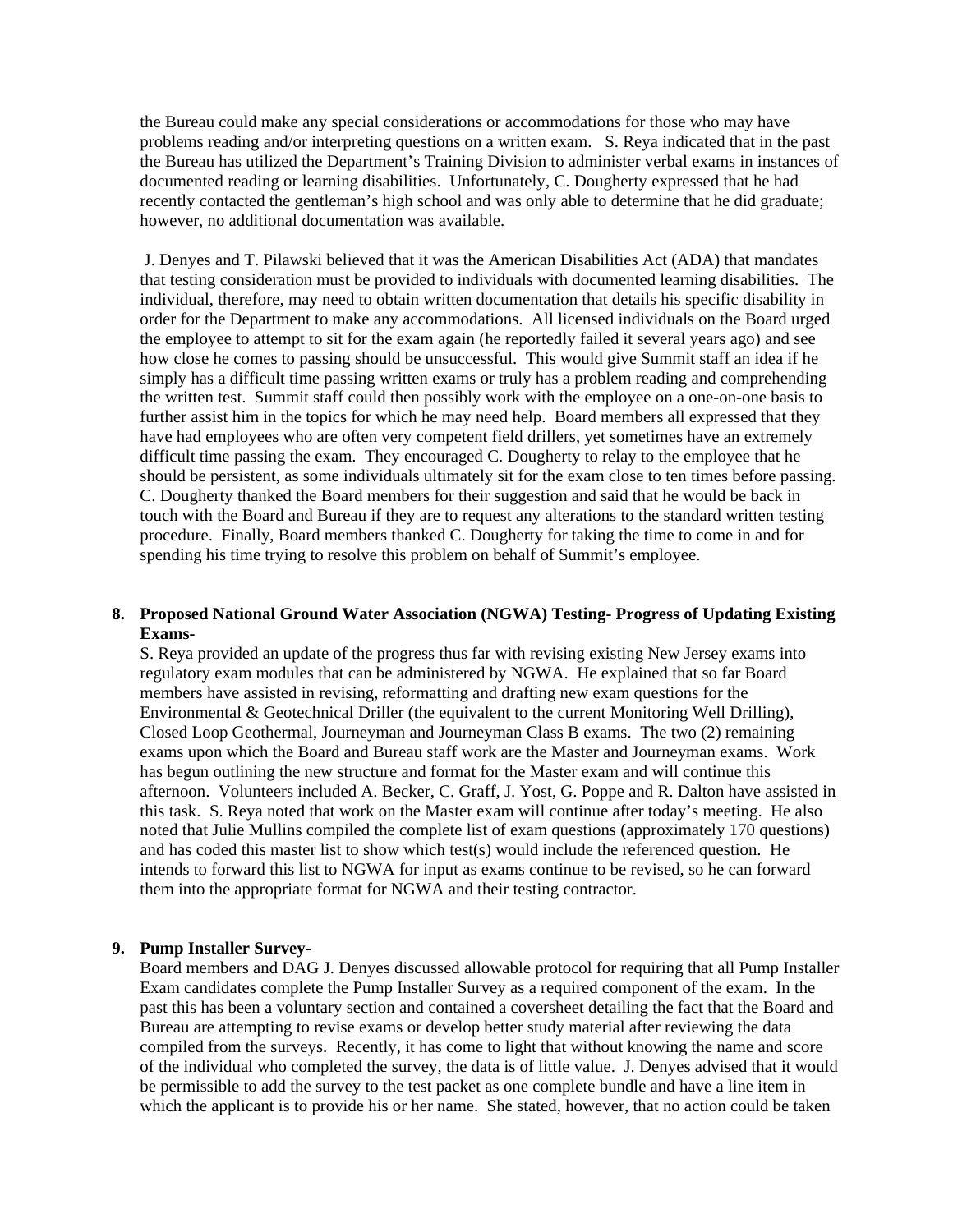the Bureau could make any special considerations or accommodations for those who may have problems reading and/or interpreting questions on a written exam. S. Reya indicated that in the past the Bureau has utilized the Department's Training Division to administer verbal exams in instances of documented reading or learning disabilities. Unfortunately, C. Dougherty expressed that he had recently contacted the gentleman's high school and was only able to determine that he did graduate; however, no additional documentation was available.

 J. Denyes and T. Pilawski believed that it was the American Disabilities Act (ADA) that mandates that testing consideration must be provided to individuals with documented learning disabilities. The individual, therefore, may need to obtain written documentation that details his specific disability in order for the Department to make any accommodations. All licensed individuals on the Board urged the employee to attempt to sit for the exam again (he reportedly failed it several years ago) and see how close he comes to passing should be unsuccessful. This would give Summit staff an idea if he simply has a difficult time passing written exams or truly has a problem reading and comprehending the written test. Summit staff could then possibly work with the employee on a one-on-one basis to further assist him in the topics for which he may need help. Board members all expressed that they have had employees who are often very competent field drillers, yet sometimes have an extremely difficult time passing the exam. They encouraged C. Dougherty to relay to the employee that he should be persistent, as some individuals ultimately sit for the exam close to ten times before passing. C. Dougherty thanked the Board members for their suggestion and said that he would be back in touch with the Board and Bureau if they are to request any alterations to the standard written testing procedure. Finally, Board members thanked C. Dougherty for taking the time to come in and for spending his time trying to resolve this problem on behalf of Summit's employee.

### **8. Proposed National Ground Water Association (NGWA) Testing- Progress of Updating Existing Exams-**

S. Reya provided an update of the progress thus far with revising existing New Jersey exams into regulatory exam modules that can be administered by NGWA. He explained that so far Board members have assisted in revising, reformatting and drafting new exam questions for the Environmental & Geotechnical Driller (the equivalent to the current Monitoring Well Drilling), Closed Loop Geothermal, Journeyman and Journeyman Class B exams. The two (2) remaining exams upon which the Board and Bureau staff work are the Master and Journeyman exams. Work has begun outlining the new structure and format for the Master exam and will continue this afternoon. Volunteers included A. Becker, C. Graff, J. Yost, G. Poppe and R. Dalton have assisted in this task. S. Reya noted that work on the Master exam will continue after today's meeting. He also noted that Julie Mullins compiled the complete list of exam questions (approximately 170 questions) and has coded this master list to show which test(s) would include the referenced question. He intends to forward this list to NGWA for input as exams continue to be revised, so he can forward them into the appropriate format for NGWA and their testing contractor.

## **9. Pump Installer Survey-**

Board members and DAG J. Denyes discussed allowable protocol for requiring that all Pump Installer Exam candidates complete the Pump Installer Survey as a required component of the exam. In the past this has been a voluntary section and contained a coversheet detailing the fact that the Board and Bureau are attempting to revise exams or develop better study material after reviewing the data compiled from the surveys. Recently, it has come to light that without knowing the name and score of the individual who completed the survey, the data is of little value. J. Denyes advised that it would be permissible to add the survey to the test packet as one complete bundle and have a line item in which the applicant is to provide his or her name. She stated, however, that no action could be taken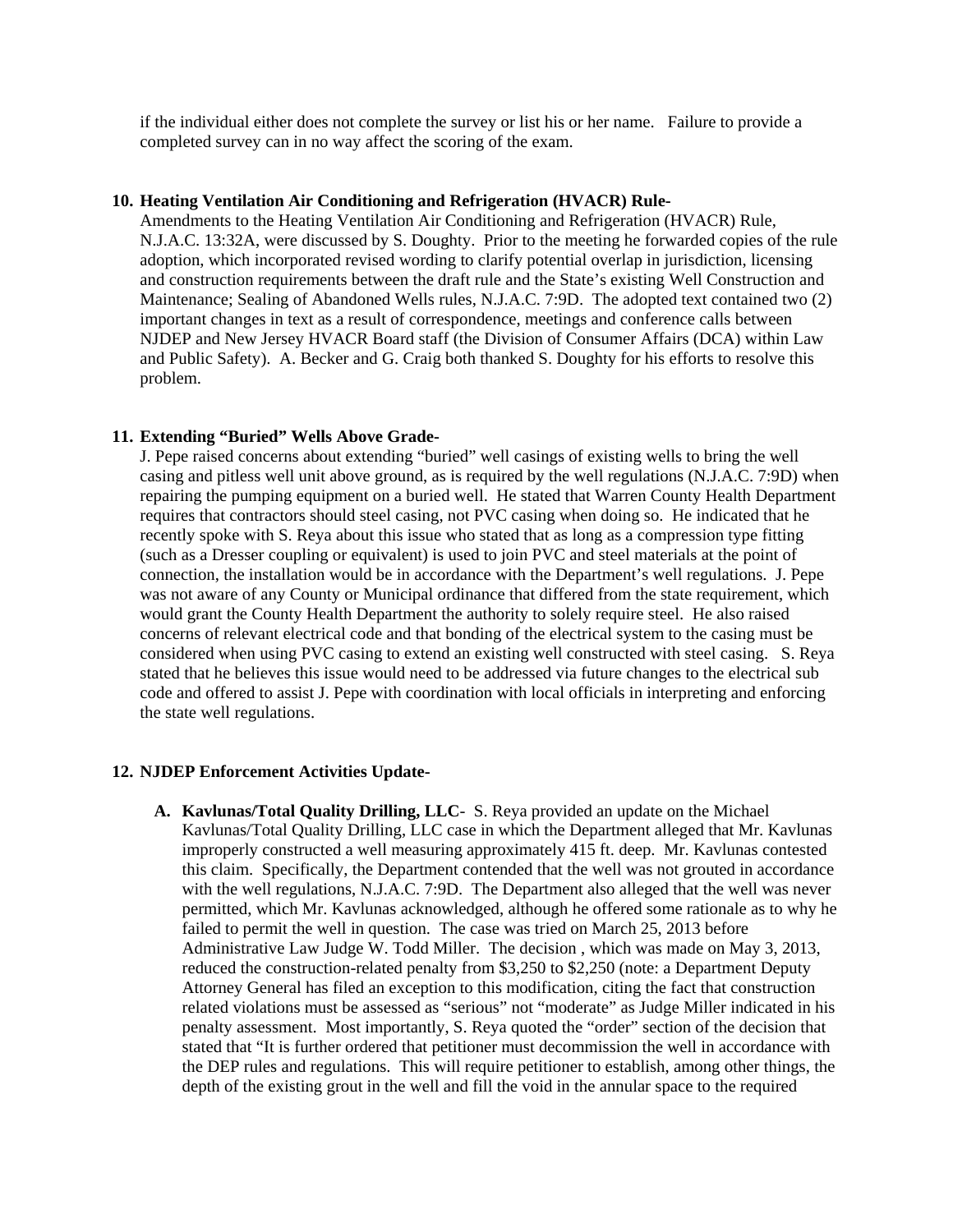if the individual either does not complete the survey or list his or her name. Failure to provide a completed survey can in no way affect the scoring of the exam.

#### **10. Heating Ventilation Air Conditioning and Refrigeration (HVACR) Rule-**

Amendments to the Heating Ventilation Air Conditioning and Refrigeration (HVACR) Rule, N.J.A.C. 13:32A, were discussed by S. Doughty. Prior to the meeting he forwarded copies of the rule adoption, which incorporated revised wording to clarify potential overlap in jurisdiction, licensing and construction requirements between the draft rule and the State's existing Well Construction and Maintenance; Sealing of Abandoned Wells rules, N.J.A.C. 7:9D. The adopted text contained two (2) important changes in text as a result of correspondence, meetings and conference calls between NJDEP and New Jersey HVACR Board staff (the Division of Consumer Affairs (DCA) within Law and Public Safety). A. Becker and G. Craig both thanked S. Doughty for his efforts to resolve this problem.

### **11. Extending "Buried" Wells Above Grade-**

J. Pepe raised concerns about extending "buried" well casings of existing wells to bring the well casing and pitless well unit above ground, as is required by the well regulations (N.J.A.C. 7:9D) when repairing the pumping equipment on a buried well. He stated that Warren County Health Department requires that contractors should steel casing, not PVC casing when doing so. He indicated that he recently spoke with S. Reya about this issue who stated that as long as a compression type fitting (such as a Dresser coupling or equivalent) is used to join PVC and steel materials at the point of connection, the installation would be in accordance with the Department's well regulations. J. Pepe was not aware of any County or Municipal ordinance that differed from the state requirement, which would grant the County Health Department the authority to solely require steel. He also raised concerns of relevant electrical code and that bonding of the electrical system to the casing must be considered when using PVC casing to extend an existing well constructed with steel casing. S. Reya stated that he believes this issue would need to be addressed via future changes to the electrical sub code and offered to assist J. Pepe with coordination with local officials in interpreting and enforcing the state well regulations.

#### **12. NJDEP Enforcement Activities Update-**

**A. Kavlunas/Total Quality Drilling, LLC**- S. Reya provided an update on the Michael Kavlunas/Total Quality Drilling, LLC case in which the Department alleged that Mr. Kavlunas improperly constructed a well measuring approximately 415 ft. deep. Mr. Kavlunas contested this claim. Specifically, the Department contended that the well was not grouted in accordance with the well regulations, N.J.A.C. 7:9D. The Department also alleged that the well was never permitted, which Mr. Kavlunas acknowledged, although he offered some rationale as to why he failed to permit the well in question. The case was tried on March 25, 2013 before Administrative Law Judge W. Todd Miller. The decision , which was made on May 3, 2013, reduced the construction-related penalty from \$3,250 to \$2,250 (note: a Department Deputy Attorney General has filed an exception to this modification, citing the fact that construction related violations must be assessed as "serious" not "moderate" as Judge Miller indicated in his penalty assessment. Most importantly, S. Reya quoted the "order" section of the decision that stated that "It is further ordered that petitioner must decommission the well in accordance with the DEP rules and regulations. This will require petitioner to establish, among other things, the depth of the existing grout in the well and fill the void in the annular space to the required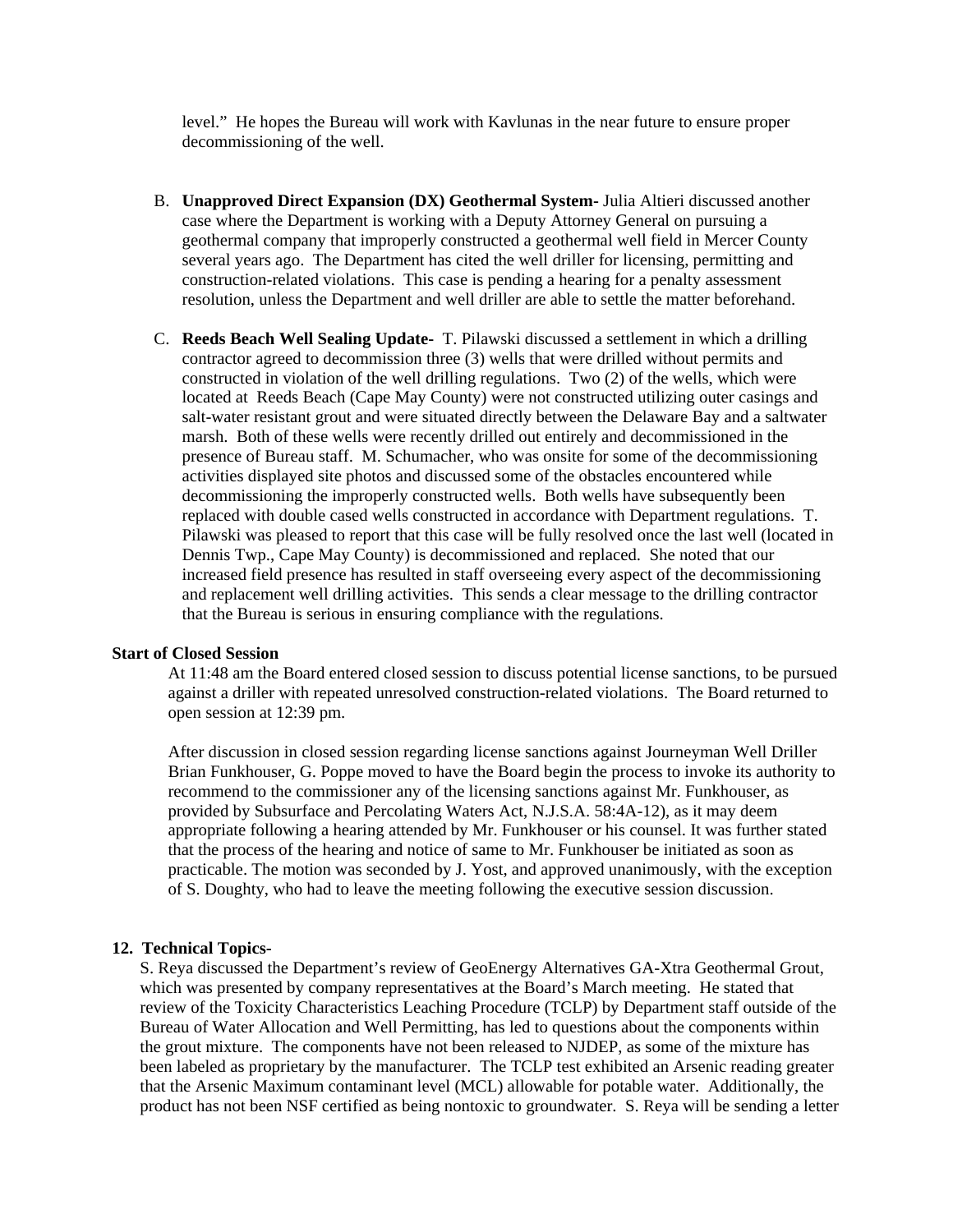level." He hopes the Bureau will work with Kavlunas in the near future to ensure proper decommissioning of the well.

- B. **Unapproved Direct Expansion (DX) Geothermal System-** Julia Altieri discussed another case where the Department is working with a Deputy Attorney General on pursuing a geothermal company that improperly constructed a geothermal well field in Mercer County several years ago. The Department has cited the well driller for licensing, permitting and construction-related violations. This case is pending a hearing for a penalty assessment resolution, unless the Department and well driller are able to settle the matter beforehand.
- C. **Reeds Beach Well Sealing Update-** T. Pilawski discussed a settlement in which a drilling contractor agreed to decommission three (3) wells that were drilled without permits and constructed in violation of the well drilling regulations. Two (2) of the wells, which were located at Reeds Beach (Cape May County) were not constructed utilizing outer casings and salt-water resistant grout and were situated directly between the Delaware Bay and a saltwater marsh. Both of these wells were recently drilled out entirely and decommissioned in the presence of Bureau staff. M. Schumacher, who was onsite for some of the decommissioning activities displayed site photos and discussed some of the obstacles encountered while decommissioning the improperly constructed wells. Both wells have subsequently been replaced with double cased wells constructed in accordance with Department regulations. T. Pilawski was pleased to report that this case will be fully resolved once the last well (located in Dennis Twp., Cape May County) is decommissioned and replaced. She noted that our increased field presence has resulted in staff overseeing every aspect of the decommissioning and replacement well drilling activities. This sends a clear message to the drilling contractor that the Bureau is serious in ensuring compliance with the regulations.

#### **Start of Closed Session**

At 11:48 am the Board entered closed session to discuss potential license sanctions, to be pursued against a driller with repeated unresolved construction-related violations. The Board returned to open session at 12:39 pm.

After discussion in closed session regarding license sanctions against Journeyman Well Driller Brian Funkhouser, G. Poppe moved to have the Board begin the process to invoke its authority to recommend to the commissioner any of the licensing sanctions against Mr. Funkhouser, as provided by Subsurface and Percolating Waters Act, N.J.S.A. 58:4A-12), as it may deem appropriate following a hearing attended by Mr. Funkhouser or his counsel. It was further stated that the process of the hearing and notice of same to Mr. Funkhouser be initiated as soon as practicable. The motion was seconded by J. Yost, and approved unanimously, with the exception of S. Doughty, who had to leave the meeting following the executive session discussion.

### **12. Technical Topics-**

S. Reya discussed the Department's review of GeoEnergy Alternatives GA-Xtra Geothermal Grout, which was presented by company representatives at the Board's March meeting. He stated that review of the Toxicity Characteristics Leaching Procedure (TCLP) by Department staff outside of the Bureau of Water Allocation and Well Permitting, has led to questions about the components within the grout mixture. The components have not been released to NJDEP, as some of the mixture has been labeled as proprietary by the manufacturer. The TCLP test exhibited an Arsenic reading greater that the Arsenic Maximum contaminant level (MCL) allowable for potable water. Additionally, the product has not been NSF certified as being nontoxic to groundwater. S. Reya will be sending a letter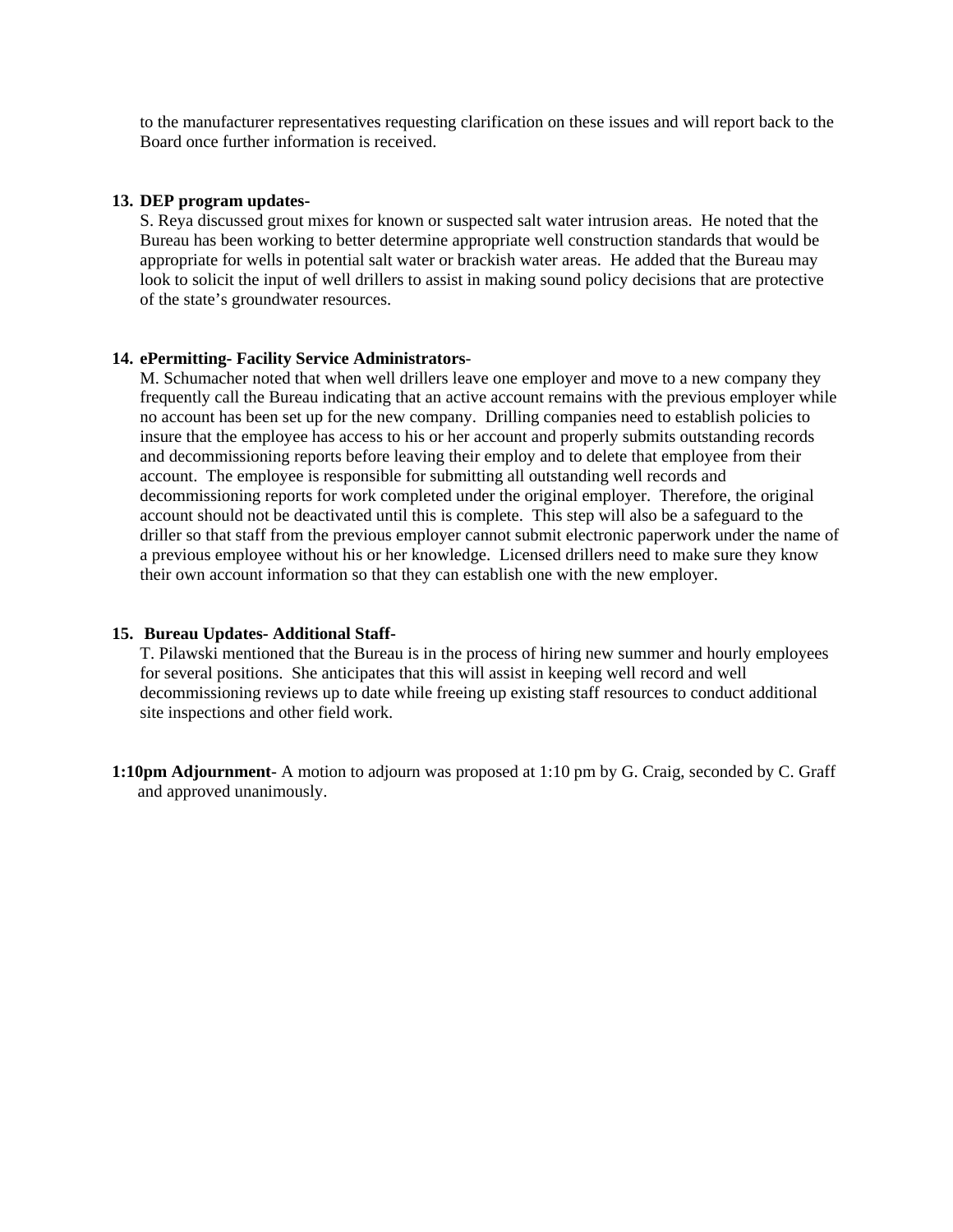to the manufacturer representatives requesting clarification on these issues and will report back to the Board once further information is received.

### **13. DEP program updates-**

S. Reya discussed grout mixes for known or suspected salt water intrusion areas. He noted that the Bureau has been working to better determine appropriate well construction standards that would be appropriate for wells in potential salt water or brackish water areas. He added that the Bureau may look to solicit the input of well drillers to assist in making sound policy decisions that are protective of the state's groundwater resources.

### **14. ePermitting- Facility Service Administrators**-

M. Schumacher noted that when well drillers leave one employer and move to a new company they frequently call the Bureau indicating that an active account remains with the previous employer while no account has been set up for the new company. Drilling companies need to establish policies to insure that the employee has access to his or her account and properly submits outstanding records and decommissioning reports before leaving their employ and to delete that employee from their account. The employee is responsible for submitting all outstanding well records and decommissioning reports for work completed under the original employer. Therefore, the original account should not be deactivated until this is complete. This step will also be a safeguard to the driller so that staff from the previous employer cannot submit electronic paperwork under the name of a previous employee without his or her knowledge. Licensed drillers need to make sure they know their own account information so that they can establish one with the new employer.

### **15. Bureau Updates- Additional Staff-**

T. Pilawski mentioned that the Bureau is in the process of hiring new summer and hourly employees for several positions. She anticipates that this will assist in keeping well record and well decommissioning reviews up to date while freeing up existing staff resources to conduct additional site inspections and other field work.

**1:10pm Adjournment**- A motion to adjourn was proposed at 1:10 pm by G. Craig, seconded by C. Graff and approved unanimously.